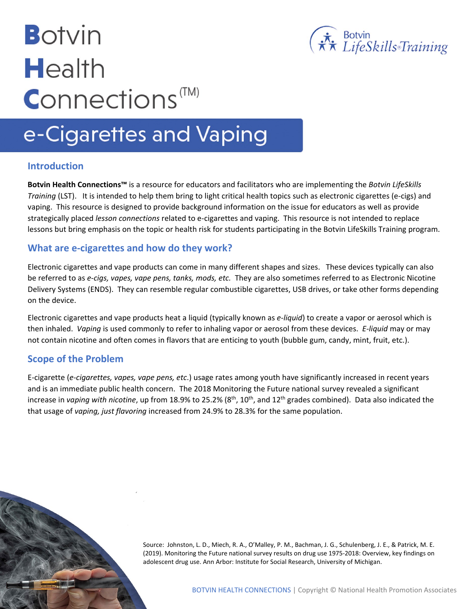# **Botvin Health Connections**<sup>™</sup>



# e-Cigarettes and Vaping

#### **Introduction**

**Botvin Health Connections™** is a resource for educators and facilitators who are implementing the *Botvin LifeSkills Training* (LST). It is intended to help them bring to light critical health topics such as electronic cigarettes (e-cigs) and vaping. This resource is designed to provide background information on the issue for educators as well as provide strategically placed *lesson connections* related to e-cigarettes and vaping. This resource is not intended to replace lessons but bring emphasis on the topic or health risk for students participating in the Botvin LifeSkills Training program.

#### **What are e-cigarettes and how do they work?**

Electronic cigarettes and vape products can come in many different shapes and sizes. These devices typically can also be referred to as *e-cigs, vapes, vape pens, tanks, mods, etc.* They are also sometimes referred to as Electronic Nicotine Delivery Systems (ENDS). They can resemble regular combustible cigarettes, USB drives, or take other forms depending on the device.

Electronic cigarettes and vape products heat a liquid (typically known as *e-liquid*) to create a vapor or aerosol which is then inhaled. *Vaping* is used commonly to refer to inhaling vapor or aerosol from these devices. *E-liquid* may or may not contain nicotine and often comes in flavors that are enticing to youth (bubble gum, candy, mint, fruit, etc.).

#### **Scope of the Problem**

E-cigarette (*e-cigarettes, vapes, vape pens, etc*.) usage rates among youth have significantly increased in recent years and is an immediate public health concern. The 2018 Monitoring the Future national survey revealed a significant increase in *vaping with nicotine*, up from 18.9% to 25.2% (8<sup>th</sup>, 10<sup>th</sup>, and 12<sup>th</sup> grades combined). Data also indicated the that usage of *vaping, just flavoring* increased from 24.9% to 28.3% for the same population.

> Source: Johnston, L. D., Miech, R. A., O'Malley, P. M., Bachman, J. G., Schulenberg, J. E., & Patrick, M. E. (2019). Monitoring the Future national survey results on drug use 1975-2018: Overview, key findings on adolescent drug use. Ann Arbor: Institute for Social Research, University of Michigan.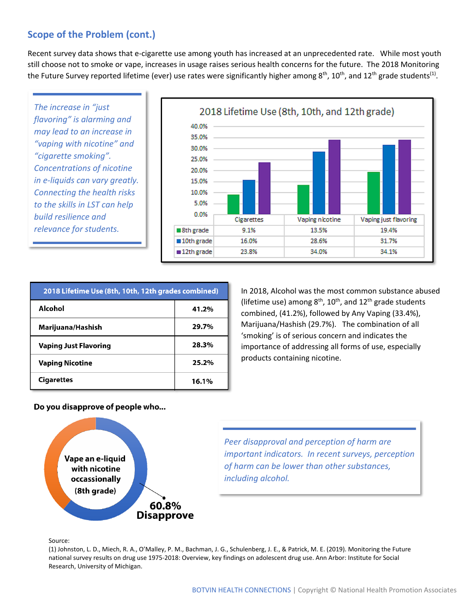## **Scope of the Problem (cont.)**

Recent survey data shows that e-cigarette use among youth has increased at an unprecedented rate. While most youth still choose not to smoke or vape, increases in usage raises serious health concerns for the future. The 2018 Monitoring the Future Survey reported lifetime (ever) use rates were significantly higher among  $8<sup>th</sup>$ , 10<sup>th</sup>, and 12<sup>th</sup> grade students<sup>(1)</sup>.

*The increase in "just flavoring" is alarming and may lead to an increase in "vaping with nicotine" and "cigarette smoking". Concentrations of nicotine in e-liquids can vary greatly. Connecting the health risks to the skills in LST can help build resilience and relevance for students.* 



| 2018 Lifetime Use (8th, 10th, 12th grades combined) |       |
|-----------------------------------------------------|-------|
| Alcohol                                             | 41.2% |
| Marijuana/Hashish                                   | 29.7% |
| <b>Vaping Just Flavoring</b>                        | 28.3% |
| <b>Vaping Nicotine</b>                              | 25.2% |
| Cigarettes                                          | 16.1% |

In 2018, Alcohol was the most common substance abused (lifetime use) among  $8<sup>th</sup>$ , 10<sup>th</sup>, and 12<sup>th</sup> grade students combined, (41.2%), followed by Any Vaping (33.4%), Marijuana/Hashish (29.7%). The combination of all 'smoking' is of serious concern and indicates the importance of addressing all forms of use, especially products containing nicotine.

#### Do you disapprove of people who...



*Peer disapproval and perception of harm are important indicators. In recent surveys, perception of harm can be lower than other substances, including alcohol.*

#### Source:

(1) Johnston, L. D., Miech, R. A., O'Malley, P. M., Bachman, J. G., Schulenberg, J. E., & Patrick, M. E. (2019). Monitoring the Future national survey results on drug use 1975-2018: Overview, key findings on adolescent drug use. Ann Arbor: Institute for Social Research, University of Michigan.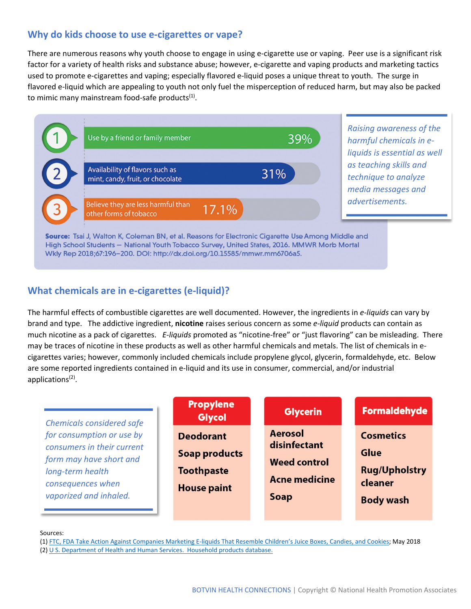#### **Why do kids choose to use e-cigarettes or vape?**

There are numerous reasons why youth choose to engage in using e-cigarette use or vaping. Peer use is a significant risk factor for a variety of health risks and substance abuse; however, e-cigarette and vaping products and marketing tactics used to promote e-cigarettes and vaping; especially flavored e-liquid poses a unique threat to youth. The surge in flavored e-liquid which are appealing to youth not only fuel the misperception of reduced harm, but may also be packed to mimic many mainstream food-safe products $<sup>(1)</sup>$ .</sup>



*Raising awareness of the harmful chemicals in eliquids is essential as well as teaching skills and technique to analyze media messages and advertisements.*

Source: Tsai J, Walton K, Coleman BN, et al. Reasons for Electronic Cigarette Use Among Middle and High School Students - National Youth Tobacco Survey, United States, 2016. MMWR Morb Mortal Wkly Rep 2018;67:196-200. DOI: http://dx.doi.org/10.15585/mmwr.mm6706a5.

#### **What chemicals are in e-cigarettes (e-liquid)?**

The harmful effects of combustible cigarettes are well documented. However, the ingredients in *e-liquids* can vary by brand and type. The addictive ingredient, **nicotine** raises serious concern as some *e-liquid* products can contain as much nicotine as a pack of cigarettes. *E-liquids* promoted as "nicotine-free" or "just flavoring" can be misleading. There may be traces of nicotine in these products as well as other harmful chemicals and metals. The list of chemicals in ecigarettes varies; however, commonly included chemicals include propylene glycol, glycerin, formaldehyde, etc. Below are some reported ingredients contained in e-liquid and its use in consumer, commercial, and/or industrial applications<sup>(2)</sup>.

| <b>Chemicals considered safe</b>                                                                                                                      | <b>Propylene</b><br><b>Glycol</b>                                                   | <b>Glycerin</b>                                                                       | <b>Formaldehyde</b>                                                                    |
|-------------------------------------------------------------------------------------------------------------------------------------------------------|-------------------------------------------------------------------------------------|---------------------------------------------------------------------------------------|----------------------------------------------------------------------------------------|
| for consumption or use by<br>consumers in their current<br>form may have short and<br>long-term health<br>consequences when<br>vaporized and inhaled. | <b>Deodorant</b><br><b>Soap products</b><br><b>Toothpaste</b><br><b>House paint</b> | <b>Aerosol</b><br>disinfectant<br><b>Weed control</b><br><b>Acne medicine</b><br>Soap | <b>Cosmetics</b><br><b>Glue</b><br><b>Rug/Upholstry</b><br>cleaner<br><b>Body wash</b> |

#### Sources:

(1[\) FTC, FDA Take Action Against Companies Marketing E-liquids That Resemble Children's Juice Boxes, Candies, and Cookies;](https://www.ftc.gov/news-events/press-releases/2018/05/ftc-fda-take-action-against-companies-marketing-e-liquids) May 2018 (2[\) U S. Department of Health and Human Services. Household products database.](https://hpd.nlm.nih.gov/cgi-bin/household/list?tbl=TblChemicals&alpha=A)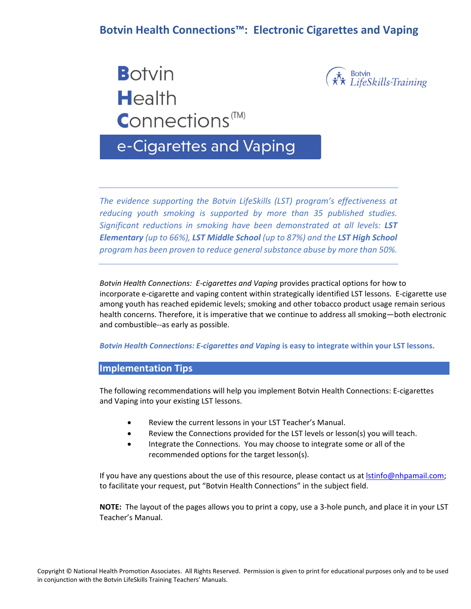## **Botvin Health Connections™: Electronic Cigarettes and Vaping**

**Botvin** Health  $$ 



# e-Cigarettes and Vaping

*The evidence supporting the Botvin LifeSkills (LST) program's effectiveness at reducing youth smoking is supported by more than 35 published studies. Significant reductions in smoking have been demonstrated at all levels: LST Elementary (up to 66%), LST Middle School (up to 87%) and the LST High School program has been proven to reduce general substance abuse by more than 50%.* 

*Botvin Health Connections: E‐cigarettes and Vaping* provides practical options for how to incorporate e‐cigarette and vaping content within strategically identified LST lessons. E‐cigarette use among youth has reached epidemic levels; smoking and other tobacco product usage remain serious health concerns. Therefore, it is imperative that we continue to address all smoking—both electronic and combustible‐‐as early as possible.

*Botvin Health Connections: E‐cigarettes and Vaping* **is easy to integrate within your LST lessons.** 

#### **Implementation Tips**

The following recommendations will help you implement Botvin Health Connections: E‐cigarettes and Vaping into your existing LST lessons.

- Review the current lessons in your LST Teacher's Manual.
- Review the Connections provided for the LST levels or lesson(s) you will teach.
- Integrate the Connections. You may choose to integrate some or all of the recommended options for the target lesson(s).

If you have any questions about the use of this resource, please contact us at **Istinfo@nhpamail.com**; to facilitate your request, put "Botvin Health Connections" in the subject field.

**NOTE:** The layout of the pages allows you to print a copy, use a 3‐hole punch, and place it in your LST Teacher's Manual.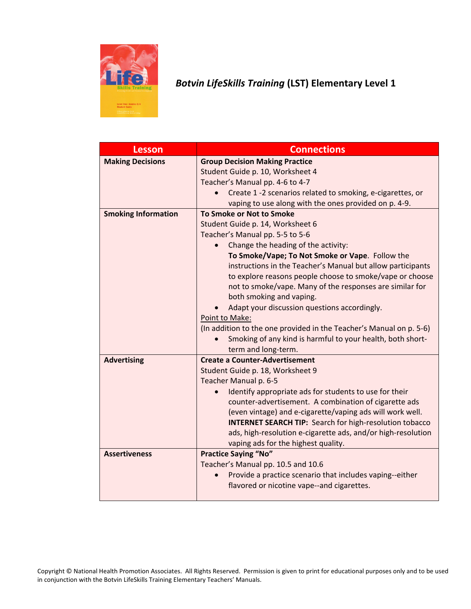

# *Botvin LifeSkills Training* **(LST) Elementary Level 1**

| <b>Lesson</b>              | <b>Connections</b>                                                  |
|----------------------------|---------------------------------------------------------------------|
| <b>Making Decisions</b>    | <b>Group Decision Making Practice</b>                               |
|                            | Student Guide p. 10, Worksheet 4                                    |
|                            | Teacher's Manual pp. 4-6 to 4-7                                     |
|                            | Create 1 -2 scenarios related to smoking, e-cigarettes, or          |
|                            | vaping to use along with the ones provided on p. 4-9.               |
| <b>Smoking Information</b> | To Smoke or Not to Smoke                                            |
|                            | Student Guide p. 14, Worksheet 6                                    |
|                            | Teacher's Manual pp. 5-5 to 5-6                                     |
|                            | Change the heading of the activity:                                 |
|                            | To Smoke/Vape; To Not Smoke or Vape. Follow the                     |
|                            | instructions in the Teacher's Manual but allow participants         |
|                            | to explore reasons people choose to smoke/vape or choose            |
|                            | not to smoke/vape. Many of the responses are similar for            |
|                            | both smoking and vaping.                                            |
|                            | Adapt your discussion questions accordingly.                        |
|                            | Point to Make:                                                      |
|                            | (In addition to the one provided in the Teacher's Manual on p. 5-6) |
|                            | Smoking of any kind is harmful to your health, both short-          |
|                            | term and long-term.                                                 |
| <b>Advertising</b>         | <b>Create a Counter-Advertisement</b>                               |
|                            | Student Guide p. 18, Worksheet 9                                    |
|                            | Teacher Manual p. 6-5                                               |
|                            | Identify appropriate ads for students to use for their              |
|                            | counter-advertisement. A combination of cigarette ads               |
|                            | (even vintage) and e-cigarette/vaping ads will work well.           |
|                            | <b>INTERNET SEARCH TIP: Search for high-resolution tobacco</b>      |
|                            | ads, high-resolution e-cigarette ads, and/or high-resolution        |
|                            | vaping ads for the highest quality.                                 |
| <b>Assertiveness</b>       | <b>Practice Saying "No"</b>                                         |
|                            | Teacher's Manual pp. 10.5 and 10.6                                  |
|                            | Provide a practice scenario that includes vaping--either            |
|                            | flavored or nicotine vape--and cigarettes.                          |
|                            |                                                                     |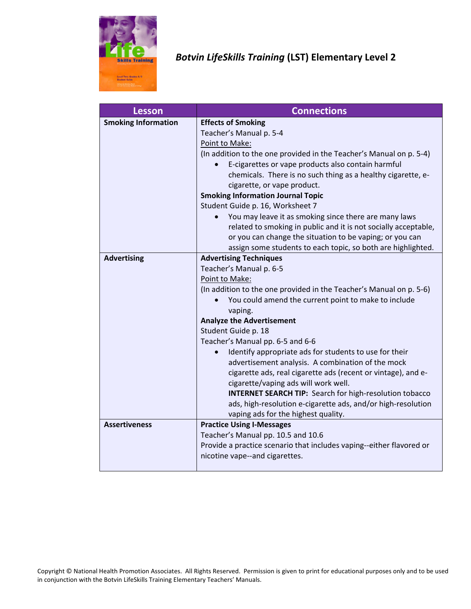

# *Botvin LifeSkills Training* **(LST) Elementary Level 2**

| <b>Lesson</b>              | <b>Connections</b>                                                   |
|----------------------------|----------------------------------------------------------------------|
| <b>Smoking Information</b> | <b>Effects of Smoking</b>                                            |
|                            | Teacher's Manual p. 5-4                                              |
|                            | Point to Make:                                                       |
|                            | (In addition to the one provided in the Teacher's Manual on p. 5-4)  |
|                            | E-cigarettes or vape products also contain harmful                   |
|                            | chemicals. There is no such thing as a healthy cigarette, e-         |
|                            | cigarette, or vape product.                                          |
|                            | <b>Smoking Information Journal Topic</b>                             |
|                            | Student Guide p. 16, Worksheet 7                                     |
|                            | You may leave it as smoking since there are many laws                |
|                            | related to smoking in public and it is not socially acceptable,      |
|                            | or you can change the situation to be vaping; or you can             |
|                            | assign some students to each topic, so both are highlighted.         |
| <b>Advertising</b>         | <b>Advertising Techniques</b>                                        |
|                            | Teacher's Manual p. 6-5                                              |
|                            | Point to Make:                                                       |
|                            | (In addition to the one provided in the Teacher's Manual on p. 5-6)  |
|                            | You could amend the current point to make to include                 |
|                            | vaping.                                                              |
|                            | <b>Analyze the Advertisement</b>                                     |
|                            | Student Guide p. 18                                                  |
|                            | Teacher's Manual pp. 6-5 and 6-6                                     |
|                            | Identify appropriate ads for students to use for their               |
|                            | advertisement analysis. A combination of the mock                    |
|                            | cigarette ads, real cigarette ads (recent or vintage), and e-        |
|                            | cigarette/vaping ads will work well.                                 |
|                            | <b>INTERNET SEARCH TIP:</b> Search for high-resolution tobacco       |
|                            | ads, high-resolution e-cigarette ads, and/or high-resolution         |
|                            | vaping ads for the highest quality.                                  |
| <b>Assertiveness</b>       | <b>Practice Using I-Messages</b>                                     |
|                            | Teacher's Manual pp. 10.5 and 10.6                                   |
|                            | Provide a practice scenario that includes vaping--either flavored or |
|                            | nicotine vape--and cigarettes.                                       |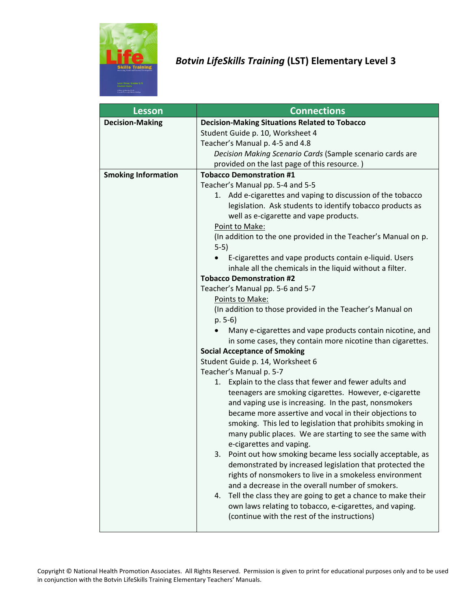

## *Botvin LifeSkills Training* **(LST) Elementary Level 3**

| <b>Lesson</b>              | <b>Connections</b>                                                       |
|----------------------------|--------------------------------------------------------------------------|
| <b>Decision-Making</b>     | <b>Decision-Making Situations Related to Tobacco</b>                     |
|                            | Student Guide p. 10, Worksheet 4                                         |
|                            | Teacher's Manual p. 4-5 and 4.8                                          |
|                            | Decision Making Scenario Cards (Sample scenario cards are                |
|                            | provided on the last page of this resource.)                             |
| <b>Smoking Information</b> | <b>Tobacco Demonstration #1</b>                                          |
|                            | Teacher's Manual pp. 5-4 and 5-5                                         |
|                            | Add e-cigarettes and vaping to discussion of the tobacco<br>1.           |
|                            | legislation. Ask students to identify tobacco products as                |
|                            | well as e-cigarette and vape products.                                   |
|                            | Point to Make:                                                           |
|                            | (In addition to the one provided in the Teacher's Manual on p.<br>$5-5)$ |
|                            | E-cigarettes and vape products contain e-liquid. Users                   |
|                            | inhale all the chemicals in the liquid without a filter.                 |
|                            | <b>Tobacco Demonstration #2</b>                                          |
|                            | Teacher's Manual pp. 5-6 and 5-7                                         |
|                            | Points to Make:                                                          |
|                            | (In addition to those provided in the Teacher's Manual on                |
|                            | $p. 5-6)$                                                                |
|                            | Many e-cigarettes and vape products contain nicotine, and                |
|                            | in some cases, they contain more nicotine than cigarettes.               |
|                            | <b>Social Acceptance of Smoking</b>                                      |
|                            | Student Guide p. 14, Worksheet 6                                         |
|                            | Teacher's Manual p. 5-7                                                  |
|                            | 1. Explain to the class that fewer and fewer adults and                  |
|                            | teenagers are smoking cigarettes. However, e-cigarette                   |
|                            | and vaping use is increasing. In the past, nonsmokers                    |
|                            | became more assertive and vocal in their objections to                   |
|                            | smoking. This led to legislation that prohibits smoking in               |
|                            | many public places. We are starting to see the same with                 |
|                            | e-cigarettes and vaping.                                                 |
|                            | Point out how smoking became less socially acceptable, as<br>3.          |
|                            | demonstrated by increased legislation that protected the                 |
|                            | rights of nonsmokers to live in a smokeless environment                  |
|                            | and a decrease in the overall number of smokers.                         |
|                            | Tell the class they are going to get a chance to make their<br>4.        |
|                            | own laws relating to tobacco, e-cigarettes, and vaping.                  |
|                            | (continue with the rest of the instructions)                             |
|                            |                                                                          |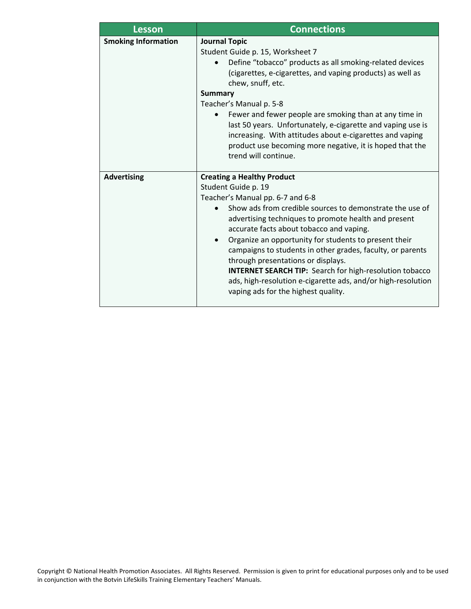| <b>Lesson</b>              | <b>Connections</b>                                                                                                                                                                                                                                                                                                                                                                                                                                                                                                                                                                                              |
|----------------------------|-----------------------------------------------------------------------------------------------------------------------------------------------------------------------------------------------------------------------------------------------------------------------------------------------------------------------------------------------------------------------------------------------------------------------------------------------------------------------------------------------------------------------------------------------------------------------------------------------------------------|
| <b>Smoking Information</b> | <b>Journal Topic</b><br>Student Guide p. 15, Worksheet 7<br>Define "tobacco" products as all smoking-related devices<br>$\bullet$<br>(cigarettes, e-cigarettes, and vaping products) as well as<br>chew, snuff, etc.<br><b>Summary</b>                                                                                                                                                                                                                                                                                                                                                                          |
|                            | Teacher's Manual p. 5-8<br>Fewer and fewer people are smoking than at any time in<br>last 50 years. Unfortunately, e-cigarette and vaping use is<br>increasing. With attitudes about e-cigarettes and vaping<br>product use becoming more negative, it is hoped that the<br>trend will continue.                                                                                                                                                                                                                                                                                                                |
| <b>Advertising</b>         | <b>Creating a Healthy Product</b><br>Student Guide p. 19<br>Teacher's Manual pp. 6-7 and 6-8<br>Show ads from credible sources to demonstrate the use of<br>advertising techniques to promote health and present<br>accurate facts about tobacco and vaping.<br>Organize an opportunity for students to present their<br>$\bullet$<br>campaigns to students in other grades, faculty, or parents<br>through presentations or displays.<br><b>INTERNET SEARCH TIP:</b> Search for high-resolution tobacco<br>ads, high-resolution e-cigarette ads, and/or high-resolution<br>vaping ads for the highest quality. |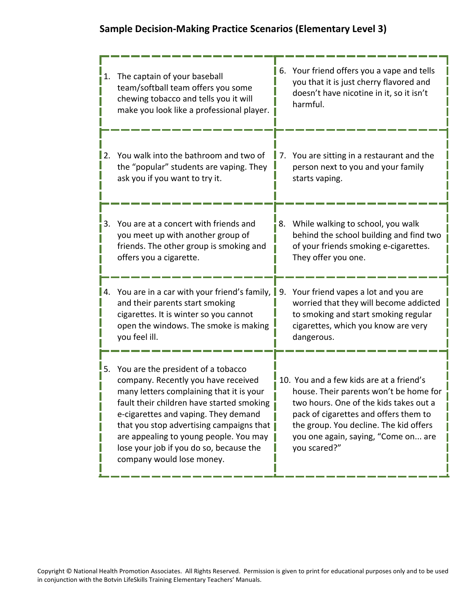# **Sample Decision-Making Practice Scenarios (Elementary Level 3)**

| 1.          | The captain of your baseball<br>team/softball team offers you some<br>chewing tobacco and tells you it will<br>make you look like a professional player.                                                                                                                                                                                                                 | 6. Your friend offers you a vape and tells<br>you that it is just cherry flavored and<br>doesn't have nicotine in it, so it isn't<br>harmful.                                                                                                                          |
|-------------|--------------------------------------------------------------------------------------------------------------------------------------------------------------------------------------------------------------------------------------------------------------------------------------------------------------------------------------------------------------------------|------------------------------------------------------------------------------------------------------------------------------------------------------------------------------------------------------------------------------------------------------------------------|
| <u>  2.</u> | You walk into the bathroom and two of<br>the "popular" students are vaping. They<br>ask you if you want to try it.                                                                                                                                                                                                                                                       | You are sitting in a restaurant and the<br>7.<br>person next to you and your family<br>starts vaping.                                                                                                                                                                  |
| 3.          | You are at a concert with friends and<br>you meet up with another group of<br>friends. The other group is smoking and<br>offers you a cigarette.                                                                                                                                                                                                                         | 8. While walking to school, you walk<br>behind the school building and find two<br>of your friends smoking e-cigarettes.<br>They offer you one.                                                                                                                        |
| I 4.        | You are in a car with your friend's family, $\parallel$ 9.<br>and their parents start smoking<br>cigarettes. It is winter so you cannot<br>open the windows. The smoke is making<br>you feel ill.                                                                                                                                                                        | Your friend vapes a lot and you are<br>worried that they will become addicted<br>to smoking and start smoking regular<br>cigarettes, which you know are very<br>dangerous.                                                                                             |
| 5.          | You are the president of a tobacco<br>company. Recently you have received<br>many letters complaining that it is your<br>fault their children have started smoking<br>e-cigarettes and vaping. They demand<br>that you stop advertising campaigns that<br>are appealing to young people. You may<br>lose your job if you do so, because the<br>company would lose money. | 10. You and a few kids are at a friend's<br>house. Their parents won't be home for<br>two hours. One of the kids takes out a<br>pack of cigarettes and offers them to<br>the group. You decline. The kid offers<br>you one again, saying, "Come on are<br>you scared?" |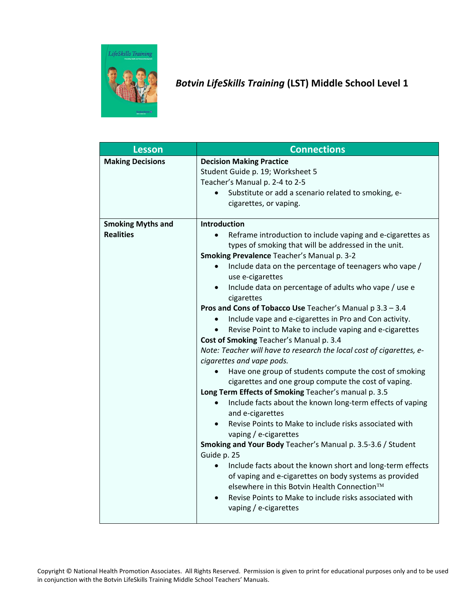

# *Botvin LifeSkills Training* **(LST) Middle School Level 1**

| <b>Lesson</b>            | <b>Connections</b>                                                                           |
|--------------------------|----------------------------------------------------------------------------------------------|
| <b>Making Decisions</b>  | <b>Decision Making Practice</b>                                                              |
|                          | Student Guide p. 19; Worksheet 5                                                             |
|                          | Teacher's Manual p. 2-4 to 2-5                                                               |
|                          | Substitute or add a scenario related to smoking, e-<br>$\bullet$                             |
|                          | cigarettes, or vaping.                                                                       |
| <b>Smoking Myths and</b> | <b>Introduction</b>                                                                          |
| <b>Realities</b>         | Reframe introduction to include vaping and e-cigarettes as                                   |
|                          | types of smoking that will be addressed in the unit.                                         |
|                          | Smoking Prevalence Teacher's Manual p. 3-2                                                   |
|                          | Include data on the percentage of teenagers who vape /<br>$\bullet$<br>use e-cigarettes      |
|                          | Include data on percentage of adults who vape / use e<br>$\bullet$<br>cigarettes             |
|                          | Pros and Cons of Tobacco Use Teacher's Manual p 3.3 - 3.4                                    |
|                          | Include vape and e-cigarettes in Pro and Con activity.<br>$\bullet$                          |
|                          | Revise Point to Make to include vaping and e-cigarettes<br>$\bullet$                         |
|                          | Cost of Smoking Teacher's Manual p. 3.4                                                      |
|                          | Note: Teacher will have to research the local cost of cigarettes, e-                         |
|                          | cigarettes and vape pods.                                                                    |
|                          | Have one group of students compute the cost of smoking                                       |
|                          | cigarettes and one group compute the cost of vaping.                                         |
|                          | Long Term Effects of Smoking Teacher's manual p. 3.5                                         |
|                          | Include facts about the known long-term effects of vaping<br>and e-cigarettes                |
|                          | Revise Points to Make to include risks associated with<br>vaping / e-cigarettes              |
|                          | Smoking and Your Body Teacher's Manual p. 3.5-3.6 / Student                                  |
|                          | Guide p. 25                                                                                  |
|                          | Include facts about the known short and long-term effects                                    |
|                          | of vaping and e-cigarettes on body systems as provided                                       |
|                          | elsewhere in this Botvin Health Connection™                                                  |
|                          | Revise Points to Make to include risks associated with<br>$\bullet$<br>vaping / e-cigarettes |
|                          |                                                                                              |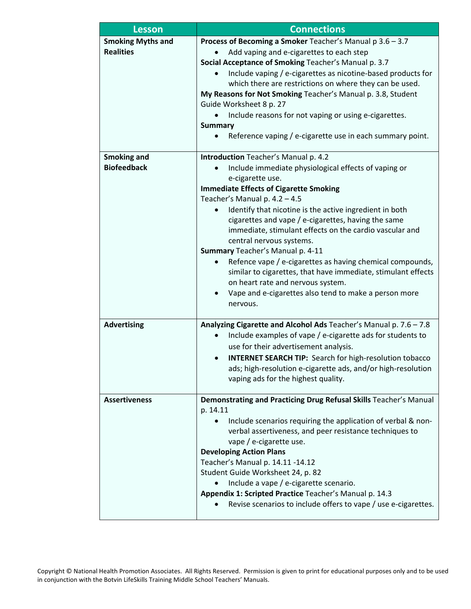| <b>Lesson</b>                                | <b>Connections</b>                                                                                                                                                                                                                                                                                                                                                                                                                                                                                                                                                                                                                                                                      |
|----------------------------------------------|-----------------------------------------------------------------------------------------------------------------------------------------------------------------------------------------------------------------------------------------------------------------------------------------------------------------------------------------------------------------------------------------------------------------------------------------------------------------------------------------------------------------------------------------------------------------------------------------------------------------------------------------------------------------------------------------|
| <b>Smoking Myths and</b><br><b>Realities</b> | Process of Becoming a Smoker Teacher's Manual p 3.6 - 3.7<br>Add vaping and e-cigarettes to each step<br>Social Acceptance of Smoking Teacher's Manual p. 3.7<br>Include vaping / e-cigarettes as nicotine-based products for<br>which there are restrictions on where they can be used.<br>My Reasons for Not Smoking Teacher's Manual p. 3.8, Student<br>Guide Worksheet 8 p. 27<br>Include reasons for not vaping or using e-cigarettes.<br><b>Summary</b><br>Reference vaping / e-cigarette use in each summary point.                                                                                                                                                              |
| <b>Smoking and</b><br><b>Biofeedback</b>     | Introduction Teacher's Manual p. 4.2<br>Include immediate physiological effects of vaping or<br>e-cigarette use.<br><b>Immediate Effects of Cigarette Smoking</b><br>Teacher's Manual p. 4.2 - 4.5<br>Identify that nicotine is the active ingredient in both<br>cigarettes and vape / e-cigarettes, having the same<br>immediate, stimulant effects on the cardio vascular and<br>central nervous systems.<br>Summary Teacher's Manual p. 4-11<br>Refence vape / e-cigarettes as having chemical compounds,<br>similar to cigarettes, that have immediate, stimulant effects<br>on heart rate and nervous system.<br>Vape and e-cigarettes also tend to make a person more<br>nervous. |
| <b>Advertising</b>                           | Analyzing Cigarette and Alcohol Ads Teacher's Manual p. 7.6 - 7.8<br>Include examples of vape / e-cigarette ads for students to<br>use for their advertisement analysis.<br><b>INTERNET SEARCH TIP:</b> Search for high-resolution tobacco<br>ads; high-resolution e-cigarette ads, and/or high-resolution<br>vaping ads for the highest quality.                                                                                                                                                                                                                                                                                                                                       |
| <b>Assertiveness</b>                         | Demonstrating and Practicing Drug Refusal Skills Teacher's Manual<br>p. 14.11<br>Include scenarios requiring the application of verbal & non-<br>$\bullet$<br>verbal assertiveness, and peer resistance techniques to<br>vape / e-cigarette use.<br><b>Developing Action Plans</b><br>Teacher's Manual p. 14.11 -14.12<br>Student Guide Worksheet 24, p. 82<br>Include a vape / e-cigarette scenario.<br>Appendix 1: Scripted Practice Teacher's Manual p. 14.3<br>Revise scenarios to include offers to vape / use e-cigarettes.                                                                                                                                                       |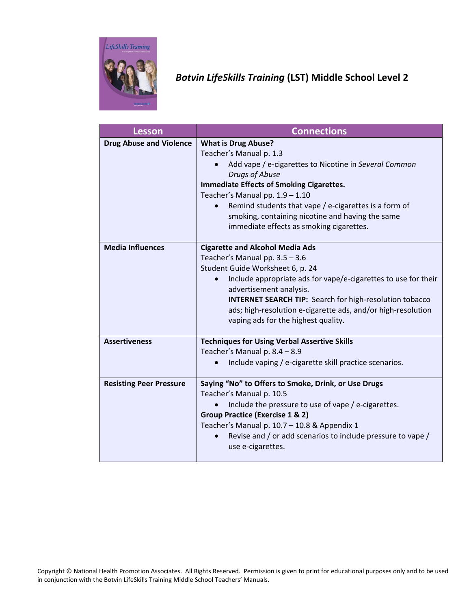

# *Botvin LifeSkills Training* **(LST) Middle School Level 2**

| <b>Lesson</b>                  | <b>Connections</b>                                                                                                                                                                                                                                                                                                                                                                              |
|--------------------------------|-------------------------------------------------------------------------------------------------------------------------------------------------------------------------------------------------------------------------------------------------------------------------------------------------------------------------------------------------------------------------------------------------|
| <b>Drug Abuse and Violence</b> | <b>What is Drug Abuse?</b><br>Teacher's Manual p. 1.3<br>Add vape / e-cigarettes to Nicotine in Several Common<br>Drugs of Abuse<br><b>Immediate Effects of Smoking Cigarettes.</b><br>Teacher's Manual pp. $1.9 - 1.10$<br>Remind students that vape / e-cigarettes is a form of<br>$\bullet$<br>smoking, containing nicotine and having the same<br>immediate effects as smoking cigarettes.  |
| <b>Media Influences</b>        | <b>Cigarette and Alcohol Media Ads</b><br>Teacher's Manual pp. 3.5 - 3.6<br>Student Guide Worksheet 6, p. 24<br>Include appropriate ads for vape/e-cigarettes to use for their<br>$\bullet$<br>advertisement analysis.<br><b>INTERNET SEARCH TIP:</b> Search for high-resolution tobacco<br>ads; high-resolution e-cigarette ads, and/or high-resolution<br>vaping ads for the highest quality. |
| <b>Assertiveness</b>           | <b>Techniques for Using Verbal Assertive Skills</b><br>Teacher's Manual p. 8.4 - 8.9<br>Include vaping / e-cigarette skill practice scenarios.                                                                                                                                                                                                                                                  |
| <b>Resisting Peer Pressure</b> | Saying "No" to Offers to Smoke, Drink, or Use Drugs<br>Teacher's Manual p. 10.5<br>Include the pressure to use of vape / e-cigarettes.<br><b>Group Practice (Exercise 1 &amp; 2)</b><br>Teacher's Manual p. 10.7 - 10.8 & Appendix 1<br>Revise and / or add scenarios to include pressure to vape /<br>use e-cigarettes.                                                                        |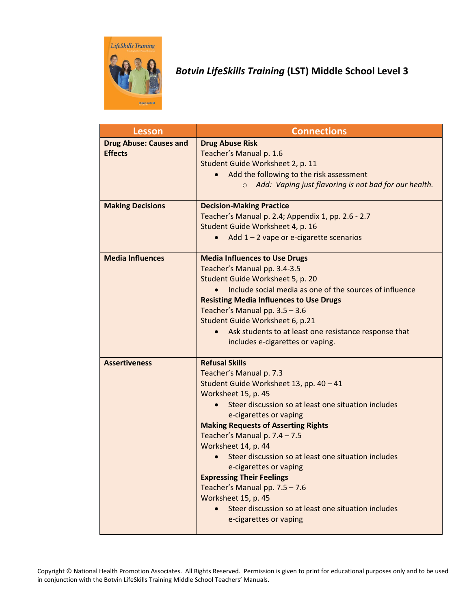

# *Botvin LifeSkills Training* **(LST) Middle School Level 3**

| <b>Lesson</b>                                   | <b>Connections</b>                                                                                                                                                                                                                                                                                                                                                                                                                                                                                                                                                       |
|-------------------------------------------------|--------------------------------------------------------------------------------------------------------------------------------------------------------------------------------------------------------------------------------------------------------------------------------------------------------------------------------------------------------------------------------------------------------------------------------------------------------------------------------------------------------------------------------------------------------------------------|
| <b>Drug Abuse: Causes and</b><br><b>Effects</b> | <b>Drug Abuse Risk</b><br>Teacher's Manual p. 1.6<br>Student Guide Worksheet 2, p. 11<br>Add the following to the risk assessment<br>Add: Vaping just flavoring is not bad for our health.<br>$\circ$                                                                                                                                                                                                                                                                                                                                                                    |
| <b>Making Decisions</b>                         | <b>Decision-Making Practice</b><br>Teacher's Manual p. 2.4; Appendix 1, pp. 2.6 - 2.7<br>Student Guide Worksheet 4, p. 16<br>Add $1 - 2$ vape or e-cigarette scenarios                                                                                                                                                                                                                                                                                                                                                                                                   |
| <b>Media Influences</b>                         | <b>Media Influences to Use Drugs</b><br>Teacher's Manual pp. 3.4-3.5<br>Student Guide Worksheet 5, p. 20<br>Include social media as one of the sources of influence<br><b>Resisting Media Influences to Use Drugs</b><br>Teacher's Manual pp. 3.5 - 3.6<br>Student Guide Worksheet 6, p.21<br>Ask students to at least one resistance response that<br>includes e-cigarettes or vaping.                                                                                                                                                                                  |
| <b>Assertiveness</b>                            | <b>Refusal Skills</b><br>Teacher's Manual p. 7.3<br>Student Guide Worksheet 13, pp. 40 - 41<br>Worksheet 15, p. 45<br>Steer discussion so at least one situation includes<br>e-cigarettes or vaping<br><b>Making Requests of Asserting Rights</b><br>Teacher's Manual p. 7.4 - 7.5<br>Worksheet 14, p. 44<br>Steer discussion so at least one situation includes<br>e-cigarettes or vaping<br><b>Expressing Their Feelings</b><br>Teacher's Manual pp. 7.5 - 7.6<br>Worksheet 15, p. 45<br>Steer discussion so at least one situation includes<br>e-cigarettes or vaping |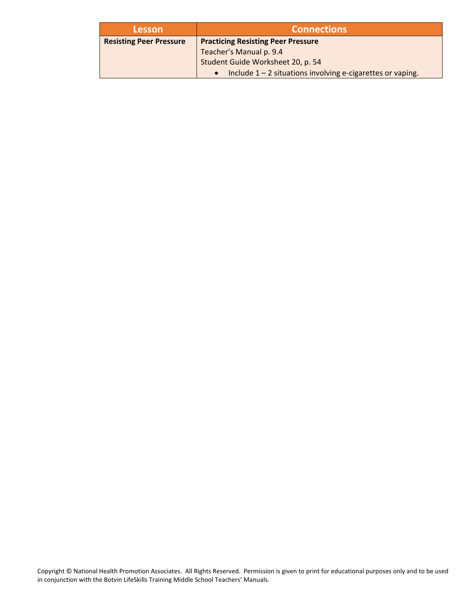| <b>Lesson</b>                  | <b>Connections</b>                                                        |
|--------------------------------|---------------------------------------------------------------------------|
| <b>Resisting Peer Pressure</b> | <b>Practicing Resisting Peer Pressure</b>                                 |
|                                | Teacher's Manual p. 9.4                                                   |
|                                | Student Guide Worksheet 20, p. 54                                         |
|                                | Include $1 - 2$ situations involving e-cigarettes or vaping.<br>$\bullet$ |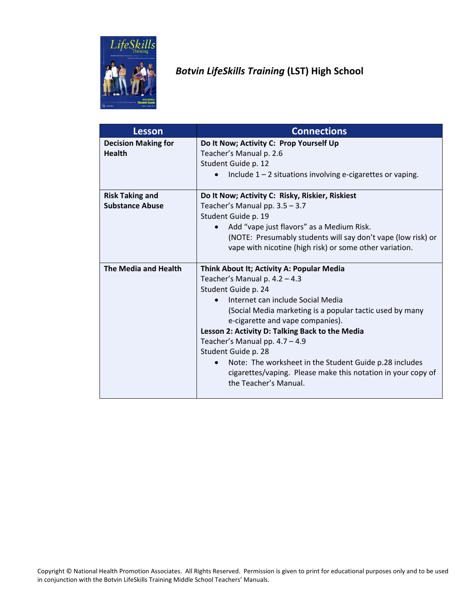

# *Botvin LifeSkills Training* **(LST) High School**

| Lesson                     | <b>Connections</b>                                                  |
|----------------------------|---------------------------------------------------------------------|
| <b>Decision Making for</b> | Do It Now; Activity C: Prop Yourself Up                             |
| <b>Health</b>              | Teacher's Manual p. 2.6                                             |
|                            | Student Guide p. 12                                                 |
|                            | Include $1 - 2$ situations involving e-cigarettes or vaping.        |
| <b>Risk Taking and</b>     | Do It Now; Activity C: Risky, Riskier, Riskiest                     |
| <b>Substance Abuse</b>     | Teacher's Manual pp. $3.5 - 3.7$                                    |
|                            | Student Guide p. 19                                                 |
|                            | Add "vape just flavors" as a Medium Risk.<br>$\bullet$              |
|                            | (NOTE: Presumably students will say don't vape (low risk) or        |
|                            | vape with nicotine (high risk) or some other variation.             |
|                            |                                                                     |
| The Media and Health       | Think About It; Activity A: Popular Media                           |
|                            | Teacher's Manual p. $4.2 - 4.3$                                     |
|                            | Student Guide p. 24                                                 |
|                            | Internet can include Social Media                                   |
|                            | (Social Media marketing is a popular tactic used by many            |
|                            | e-cigarette and vape companies).                                    |
|                            | Lesson 2: Activity D: Talking Back to the Media                     |
|                            | Teacher's Manual pp. $4.7 - 4.9$                                    |
|                            | Student Guide p. 28                                                 |
|                            | Note: The worksheet in the Student Guide p.28 includes<br>$\bullet$ |
|                            | cigarettes/vaping. Please make this notation in your copy of        |
|                            | the Teacher's Manual.                                               |
|                            |                                                                     |